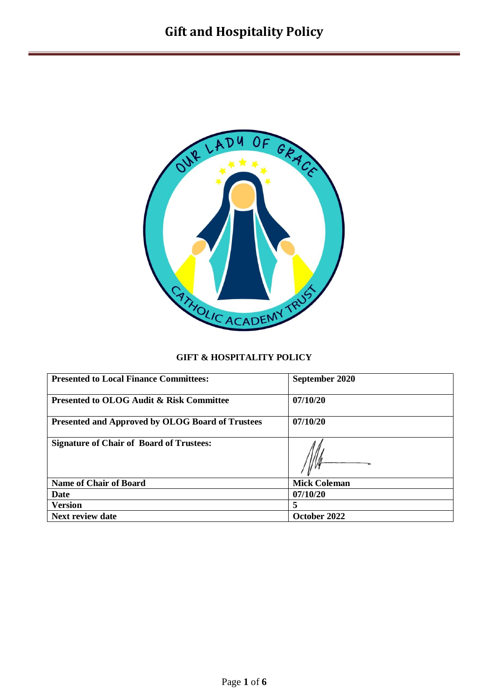

### **GIFT & HOSPITALITY POLICY**

| <b>Presented to Local Finance Committees:</b>       | September 2020      |  |
|-----------------------------------------------------|---------------------|--|
| <b>Presented to OLOG Audit &amp; Risk Committee</b> | 07/10/20            |  |
| Presented and Approved by OLOG Board of Trustees    | 07/10/20            |  |
| <b>Signature of Chair of Board of Trustees:</b>     |                     |  |
| <b>Name of Chair of Board</b>                       | <b>Mick Coleman</b> |  |
| Date                                                | 07/10/20            |  |
| <b>Version</b>                                      | 5                   |  |
| <b>Next review date</b>                             | October 2022        |  |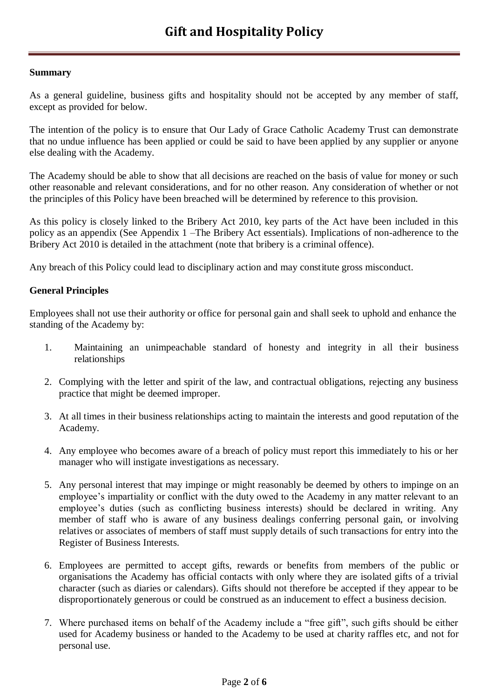### **Summary**

As a general guideline, business gifts and hospitality should not be accepted by any member of staff, except as provided for below.

The intention of the policy is to ensure that Our Lady of Grace Catholic Academy Trust can demonstrate that no undue influence has been applied or could be said to have been applied by any supplier or anyone else dealing with the Academy.

The Academy should be able to show that all decisions are reached on the basis of value for money or such other reasonable and relevant considerations, and for no other reason. Any consideration of whether or not the principles of this Policy have been breached will be determined by reference to this provision.

As this policy is closely linked to the Bribery Act 2010, key parts of the Act have been included in this policy as an appendix (See Appendix 1 –The Bribery Act essentials). Implications of non-adherence to the Bribery Act 2010 is detailed in the attachment (note that bribery is a criminal offence).

Any breach of this Policy could lead to disciplinary action and may constitute gross misconduct.

### **General Principles**

Employees shall not use their authority or office for personal gain and shall seek to uphold and enhance the standing of the Academy by:

- 1. Maintaining an unimpeachable standard of honesty and integrity in all their business relationships
- 2. Complying with the letter and spirit of the law, and contractual obligations, rejecting any business practice that might be deemed improper.
- 3. At all times in their business relationships acting to maintain the interests and good reputation of the Academy.
- 4. Any employee who becomes aware of a breach of policy must report this immediately to his or her manager who will instigate investigations as necessary.
- 5. Any personal interest that may impinge or might reasonably be deemed by others to impinge on an employee's impartiality or conflict with the duty owed to the Academy in any matter relevant to an employee's duties (such as conflicting business interests) should be declared in writing. Any member of staff who is aware of any business dealings conferring personal gain, or involving relatives or associates of members of staff must supply details of such transactions for entry into the Register of Business Interests.
- 6. Employees are permitted to accept gifts, rewards or benefits from members of the public or organisations the Academy has official contacts with only where they are isolated gifts of a trivial character (such as diaries or calendars). Gifts should not therefore be accepted if they appear to be disproportionately generous or could be construed as an inducement to effect a business decision.
- 7. Where purchased items on behalf of the Academy include a "free gift", such gifts should be either used for Academy business or handed to the Academy to be used at charity raffles etc, and not for personal use.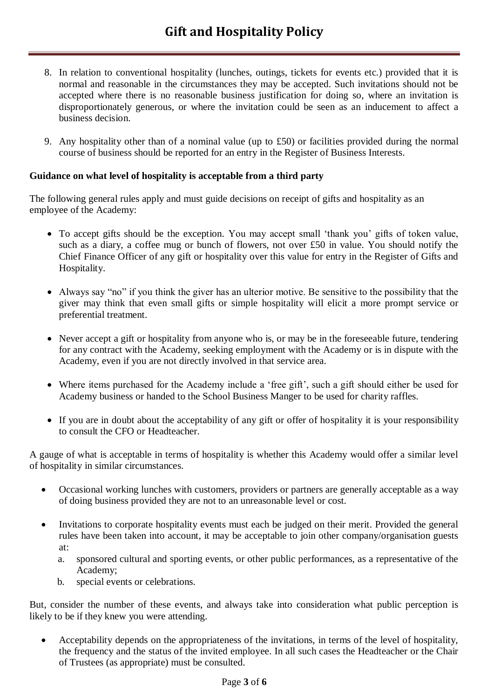- 8. In relation to conventional hospitality (lunches, outings, tickets for events etc.) provided that it is normal and reasonable in the circumstances they may be accepted. Such invitations should not be accepted where there is no reasonable business justification for doing so, where an invitation is disproportionately generous, or where the invitation could be seen as an inducement to affect a business decision.
- 9. Any hospitality other than of a nominal value (up to £50) or facilities provided during the normal course of business should be reported for an entry in the Register of Business Interests.

## **Guidance on what level of hospitality is acceptable from a third party**

The following general rules apply and must guide decisions on receipt of gifts and hospitality as an employee of the Academy:

- To accept gifts should be the exception. You may accept small 'thank you' gifts of token value, such as a diary, a coffee mug or bunch of flowers, not over £50 in value. You should notify the Chief Finance Officer of any gift or hospitality over this value for entry in the Register of Gifts and Hospitality.
- Always say "no" if you think the giver has an ulterior motive. Be sensitive to the possibility that the giver may think that even small gifts or simple hospitality will elicit a more prompt service or preferential treatment.
- Never accept a gift or hospitality from anyone who is, or may be in the foreseeable future, tendering for any contract with the Academy, seeking employment with the Academy or is in dispute with the Academy, even if you are not directly involved in that service area.
- Where items purchased for the Academy include a 'free gift', such a gift should either be used for Academy business or handed to the School Business Manger to be used for charity raffles.
- If you are in doubt about the acceptability of any gift or offer of hospitality it is your responsibility to consult the CFO or Headteacher.

A gauge of what is acceptable in terms of hospitality is whether this Academy would offer a similar level of hospitality in similar circumstances.

- Occasional working lunches with customers, providers or partners are generally acceptable as a way of doing business provided they are not to an unreasonable level or cost.
- Invitations to corporate hospitality events must each be judged on their merit. Provided the general rules have been taken into account, it may be acceptable to join other company/organisation guests at:
	- a. sponsored cultural and sporting events, or other public performances, as a representative of the Academy;
	- b. special events or celebrations.

But, consider the number of these events, and always take into consideration what public perception is likely to be if they knew you were attending.

 Acceptability depends on the appropriateness of the invitations, in terms of the level of hospitality, the frequency and the status of the invited employee. In all such cases the Headteacher or the Chair of Trustees (as appropriate) must be consulted.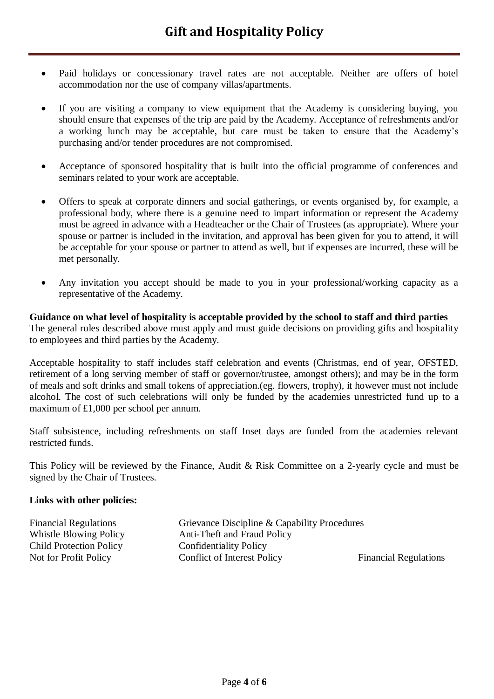- Paid holidays or concessionary travel rates are not acceptable. Neither are offers of hotel accommodation nor the use of company villas/apartments.
- If you are visiting a company to view equipment that the Academy is considering buying, you should ensure that expenses of the trip are paid by the Academy. Acceptance of refreshments and/or a working lunch may be acceptable, but care must be taken to ensure that the Academy's purchasing and/or tender procedures are not compromised.
- Acceptance of sponsored hospitality that is built into the official programme of conferences and seminars related to your work are acceptable.
- Offers to speak at corporate dinners and social gatherings, or events organised by, for example, a professional body, where there is a genuine need to impart information or represent the Academy must be agreed in advance with a Headteacher or the Chair of Trustees (as appropriate). Where your spouse or partner is included in the invitation, and approval has been given for you to attend, it will be acceptable for your spouse or partner to attend as well, but if expenses are incurred, these will be met personally.
- Any invitation you accept should be made to you in your professional/working capacity as a representative of the Academy.

**Guidance on what level of hospitality is acceptable provided by the school to staff and third parties** The general rules described above must apply and must guide decisions on providing gifts and hospitality to employees and third parties by the Academy.

Acceptable hospitality to staff includes staff celebration and events (Christmas, end of year, OFSTED, retirement of a long serving member of staff or governor/trustee, amongst others); and may be in the form of meals and soft drinks and small tokens of appreciation.(eg. flowers, trophy), it however must not include alcohol. The cost of such celebrations will only be funded by the academies unrestricted fund up to a maximum of £1,000 per school per annum.

Staff subsistence, including refreshments on staff Inset days are funded from the academies relevant restricted funds.

This Policy will be reviewed by the Finance, Audit & Risk Committee on a 2-yearly cycle and must be signed by the Chair of Trustees.

### **Links with other policies:**

| <b>Financial Regulations</b>   | Grievance Discipline & Capability Procedures |                              |
|--------------------------------|----------------------------------------------|------------------------------|
| Whistle Blowing Policy         | Anti-Theft and Fraud Policy                  |                              |
| <b>Child Protection Policy</b> | Confidentiality Policy                       |                              |
| Not for Profit Policy          | Conflict of Interest Policy                  | <b>Financial Regulations</b> |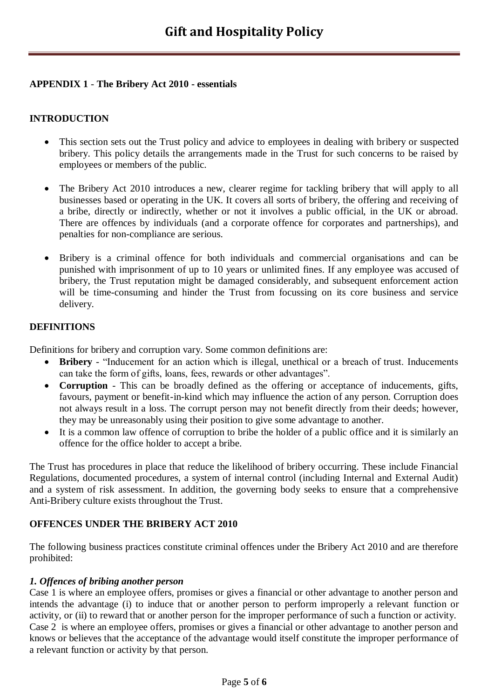### **APPENDIX 1** - **The Bribery Act 2010 - essentials**

# **INTRODUCTION**

- This section sets out the Trust policy and advice to employees in dealing with bribery or suspected bribery. This policy details the arrangements made in the Trust for such concerns to be raised by employees or members of the public.
- The Bribery Act 2010 introduces a new, clearer regime for tackling bribery that will apply to all businesses based or operating in the UK. It covers all sorts of bribery, the offering and receiving of a bribe, directly or indirectly, whether or not it involves a public official, in the UK or abroad. There are offences by individuals (and a corporate offence for corporates and partnerships), and penalties for non-compliance are serious.
- Bribery is a criminal offence for both individuals and commercial organisations and can be punished with imprisonment of up to 10 years or unlimited fines. If any employee was accused of bribery, the Trust reputation might be damaged considerably, and subsequent enforcement action will be time-consuming and hinder the Trust from focussing on its core business and service delivery.

## **DEFINITIONS**

Definitions for bribery and corruption vary. Some common definitions are:

- **Bribery** "Inducement for an action which is illegal, unethical or a breach of trust. Inducements can take the form of gifts, loans, fees, rewards or other advantages".
- **Corruption** This can be broadly defined as the offering or acceptance of inducements, gifts, favours, payment or benefit-in-kind which may influence the action of any person. Corruption does not always result in a loss. The corrupt person may not benefit directly from their deeds; however, they may be unreasonably using their position to give some advantage to another.
- It is a common law offence of corruption to bribe the holder of a public office and it is similarly an offence for the office holder to accept a bribe.

The Trust has procedures in place that reduce the likelihood of bribery occurring. These include Financial Regulations, documented procedures, a system of internal control (including Internal and External Audit) and a system of risk assessment. In addition, the governing body seeks to ensure that a comprehensive Anti-Bribery culture exists throughout the Trust.

# **OFFENCES UNDER THE BRIBERY ACT 2010**

The following business practices constitute criminal offences under the Bribery Act 2010 and are therefore prohibited:

### *1. Offences of bribing another person*

Case 1 is where an employee offers, promises or gives a financial or other advantage to another person and intends the advantage (i) to induce that or another person to perform improperly a relevant function or activity, or (ii) to reward that or another person for the improper performance of such a function or activity. Case 2 is where an employee offers, promises or gives a financial or other advantage to another person and knows or believes that the acceptance of the advantage would itself constitute the improper performance of a relevant function or activity by that person.